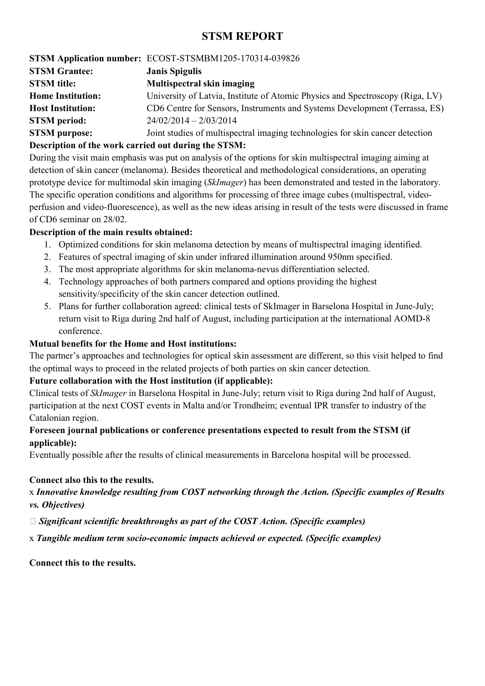# STSM REPORT

STSM Application number: ECOST-STSMBM1205-170314-039826 STSM Grantee: Janis Spigulis STSM title: Multispectral skin imaging Home Institution: University of Latvia, Institute of Atomic Physics and Spectroscopy (Riga, LV) Host Institution: CD6 Centre for Sensors, Instruments and Systems Development (Terrassa, ES) STSM period: 24/02/2014 – 2/03/2014 STSM purpose: Joint studies of multispectral imaging technologies for skin cancer detection Description of the work carried out during the STSM:

During the visit main emphasis was put on analysis of the options for skin multispectral imaging aiming at detection of skin cancer (melanoma). Besides theoretical and methodological considerations, an operating prototype device for multimodal skin imaging (SkImager) has been demonstrated and tested in the laboratory. The specific operation conditions and algorithms for processing of three image cubes (multispectral, videoperfusion and video-fluorescence), as well as the new ideas arising in result of the tests were discussed in frame of CD6 seminar on 28/02.

### Description of the main results obtained:

- 1. Optimized conditions for skin melanoma detection by means of multispectral imaging identified.
- 2. Features of spectral imaging of skin under infrared illumination around 950nm specified.
- 3. The most appropriate algorithms for skin melanoma-nevus differentiation selected.
- 4. Technology approaches of both partners compared and options providing the highest sensitivity/specificity of the skin cancer detection outlined.
- 5. Plans for further collaboration agreed: clinical tests of SkImager in Barselona Hospital in June-July; return visit to Riga during 2nd half of August, including participation at the international AOMD-8 conference.

### Mutual benefits for the Home and Host institutions:

The partner's approaches and technologies for optical skin assessment are different, so this visit helped to find the optimal ways to proceed in the related projects of both parties on skin cancer detection.

### Future collaboration with the Host institution (if applicable):

Clinical tests of SkImager in Barselona Hospital in June-July; return visit to Riga during 2nd half of August, participation at the next COST events in Malta and/or Trondheim; eventual IPR transfer to industry of the Catalonian region.

# Foreseen journal publications or conference presentations expected to result from the STSM (if applicable):

Eventually possible after the results of clinical measurements in Barcelona hospital will be processed.

### Connect also this to the results.

# x Innovative knowledge resulting from COST networking through the Action. (Specific examples of Results vs. Objectives)

A Significant scientific breakthroughs as part of the COST Action. (Specific examples)

x Tangible medium term socio-economic impacts achieved or expected. (Specific examples)

Connect this to the results.